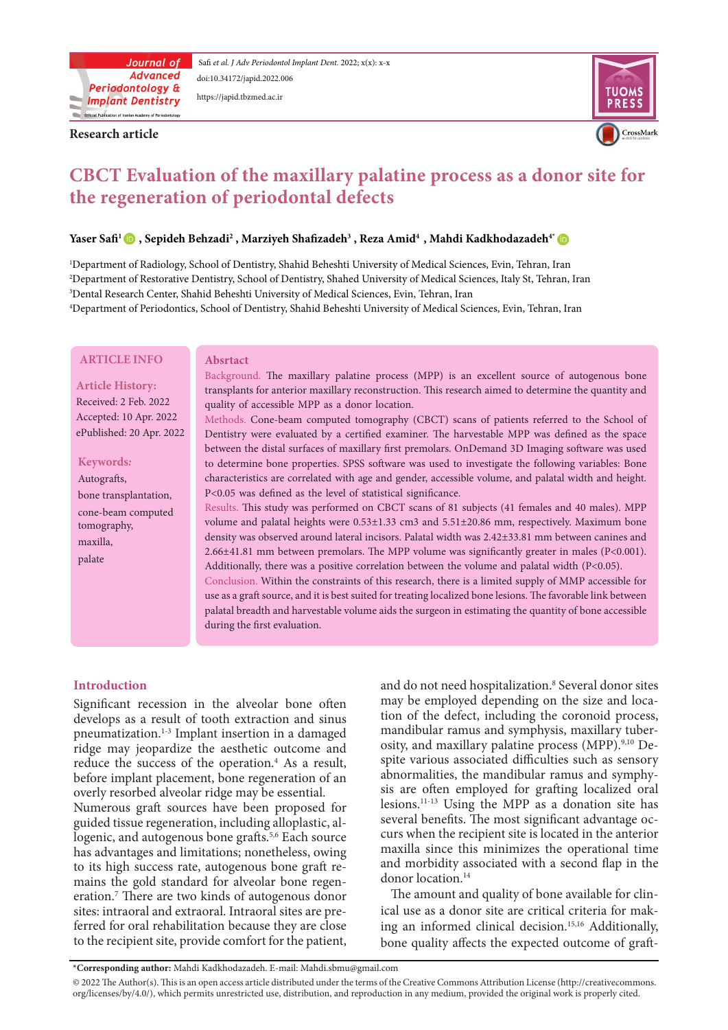

Safi et al. J Adv Periodontol Implant Dent. 2022; x(x): x-x doi:10.34172/japid[.2022.00](http://doi.org/10.34172/japid.2022.006)6 https://japid.tbzmed.ac.ir

**Research article** 



# **EXAMPLE FORET Evaluation of the maxillary palatine process as a donor site for the regeneration of periodontal defects**

# ${\bf Y}$  ${\bf Y}$  ${\bf Y}$ aser Safi'  $\blacksquare$  , Sepideh Behzadi<sup>2</sup> , Marziyeh Shafizadeh $^3$  , Reza Amid $^4$  , Mahdi Kadkhodazadeh $^4$

'Department of Radiology, School of Dentistry, Shahid Beheshti University of Medical Sciences, Evin, Tehran, Iran <sup>2</sup>Department of Restorative Dentistry, School of Dentistry, Shahed University of Medical Sciences, Italy St, Tehran, Iran <sup>3</sup>Dental Research Center, Shahid Beheshti University of Medical Sciences, Evin, Tehran, Iran 'Department of Periodontics, School of Dentistry, Shahid Beheshti University of Medical Sciences, Evin, Tehran, Iran

#### **ARTICLE INFO**

#### **Article History:**

Received: 2 Feb. 2022 Accepted: 10 Apr. 2022 ePublished: 20 Apr. 2022

#### *:***Keywords**

,Autografts bone transplantation, cone-beam computed tomography, maxilla, palate

# **Absrtact**

Background. The maxillary palatine process (MPP) is an excellent source of autogenous bone transplants for anterior maxillary reconstruction. This research aimed to determine the quantity and quality of accessible MPP as a donor location.

Methods. Cone-beam computed tomography (CBCT) scans of patients referred to the School of Dentistry were evaluated by a certified examiner. The harvestable MPP was defined as the space between the distal surfaces of maxillary first premolars. OnDemand 3D Imaging software was used to determine bone properties. SPSS software was used to investigate the following variables: Bone characteristics are correlated with age and gender, accessible volume, and palatal width and height. P<0.05 was defined as the level of statistical significance.

Results. This study was performed on CBCT scans of 81 subjects (41 females and 40 males). MPP volume and palatal heights were  $0.53\pm1.33$  cm3 and  $5.51\pm20.86$  mm, respectively. Maximum bone density was observed around lateral incisors. Palatal width was 2.42±33.81 mm between canines and 2.66 $\pm$ 41.81 mm between premolars. The MPP volume was significantly greater in males (P<0.001). Additionally, there was a positive correlation between the volume and palatal width  $(P<0.05)$ . Conclusion. Within the constraints of this research, there is a limited supply of MMP accessible for use as a graft source, and it is best suited for treating localized bone lesions. The favorable link between palatal breadth and harvestable volume aids the surgeon in estimating the quantity of bone accessible

during the first evaluation.

# **Introduction**

Significant recession in the alveolar bone often develops as a result of tooth extraction and sinus pneumatization.<sup>1-3</sup> Implant insertion in a damaged ridge may jeopardize the aesthetic outcome and reduce the success of the operation.<sup>4</sup> As a result, before implant placement, bone regeneration of an overly resorbed alveolar ridge may be essential.

Numerous graft sources have been proposed for logenic, and autogenous bone grafts.<sup>5,6</sup> Each source guided tissue regeneration, including alloplastic, alhas advantages and limitations; nonetheless, owing mains the gold standard for alveolar bone regen-<br>eration.<sup>7</sup> There are two kinds of autogenous donor mains the gold standard for alveolar bone regento its high success rate, autogenous bone graft resites: intraoral and extraoral. Intraoral sites are pre-<br>ferred-for oral rehabilitation because they are close to the recipient site, provide comfort for the patient,

and do not need hospitalization.<sup>8</sup> Several donor sites tion of the defect, including the coronoid process, may be employed depending on the size and locaspite various associated difficulties such as sensory osity, and maxillary palatine process (MPP). $9,10$  Demandibular ramus and symphysis, maxillary tubersis are often employed for grafting localized oral abnormalities, the mandibular ramus and symphylesions.<sup>11-13</sup> Using the MPP as a donation site has curs when the recipient site is located in the anterior several benefits. The most significant advantage ocmaxilla since this minimizes the operational time and morbidity associated with a second flap in the donor location.<sup>14</sup>

ing an informed clinical decision.<sup>15,16</sup> Additionally, ical use as a donor site are critical criteria for mak-The amount and quality of bone available for clinbone quality affects the expected outcome of graft-

\*Corresponding author: Mahdi Kadkhodazadeh. E-mail: Mahdi.sbmu@gmail.com

<sup>@ 2022</sup> The Author(s). This is an open access article distributed under the terms of the Creative Commons Attribution License (http://creativecommons. org/licenses/by/4.0/), which permits unrestricted use, distribution, and reproduction in any medium, provided the original work is properly cited.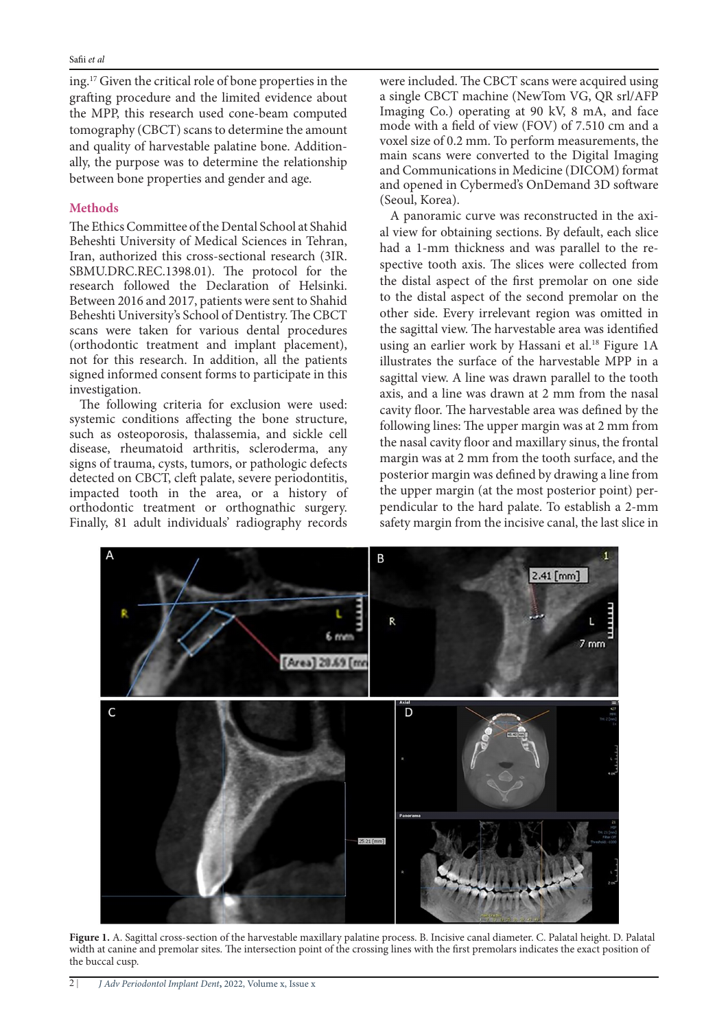ing.<sup>17</sup> Given the critical role of bone properties in the grafting procedure and the limited evidence about the MPP, this research used cone-beam computed tomography (CBCT) scans to determine the amount ally, the purpose was to determine the relationship and quality of harvestable palatine bone. Additionbetween bone properties and gender and age.

# **Methods**

The Ethics Committee of the Dental School at Shahid Beheshti University of Medical Sciences in Tehran, Iran, authorized this cross-sectional research (3IR. SBMU.DRC.REC.1398.01). The protocol for the research followed the Declaration of Helsinki. Between 2016 and 2017, patients were sent to Shahid Beheshti University's School of Dentistry. The CBCT scans were taken for various dental procedures (orthodontic treatment and implant placement), not for this research. In addition, all the patients signed informed consent forms to participate in this investigation.

The following criteria for exclusion were used: systemic conditions affecting the bone structure, such as osteoporosis, thalassemia, and sickle cell disease, rheumatoid arthritis, scleroderma, any signs of trauma, cysts, tumors, or pathologic defects detected on CBCT, cleft palate, severe periodontitis, impacted tooth in the area, or a history of orthodontic treatment or orthognathic surgery. Finally, 81 adult individuals' radiography records

were included. The CBCT scans were acquired using a single CBCT machine (NewTom VG, QR srl/AFP Imaging Co.) operating at 90 kV, 8 mA, and face mode with a field of view (FOV) of 7.510 cm and a voxel size of 0.2 mm. To perform measurements, the main scans were converted to the Digital Imaging and Communications in Medicine (DICOM) format and opened in Cybermed's OnDemand 3D software (Seoul, Korea).

al view for obtaining sections. By default, each slice A panoramic curve was reconstructed in the axihad a 1-mm thickness and was parallel to the respective tooth axis. The slices were collected from the distal aspect of the first premolar on one side to the distal aspect of the second premolar on the other side. Every irrelevant region was omitted in the sagittal view. The harvestable area was identified using an earlier work by Hassani et al.<sup>18</sup> Figure 1A illustrates the surface of the harvestable MPP in a sagittal view. A line was drawn parallel to the tooth axis, and a line was drawn at 2 mm from the nasal cavity floor. The harvestable area was defined by the following lines: The upper margin was at 2 mm from the nasal cavity floor and maxillary sinus, the frontal margin was at 2 mm from the tooth surface, and the posterior margin was defined by drawing a line from pendicular to the hard palate. To establish a 2-mm the upper margin (at the most posterior point) persafety margin from the incisive canal, the last slice in



Figure 1. A. Sagittal cross-section of the harvestable maxillary palatine process. B. Incisive canal diameter. C. Palatal height. D. Palatal width at canine and premolar sites. The intersection point of the crossing lines with the first premolars indicates the exact position of the buccal cusp.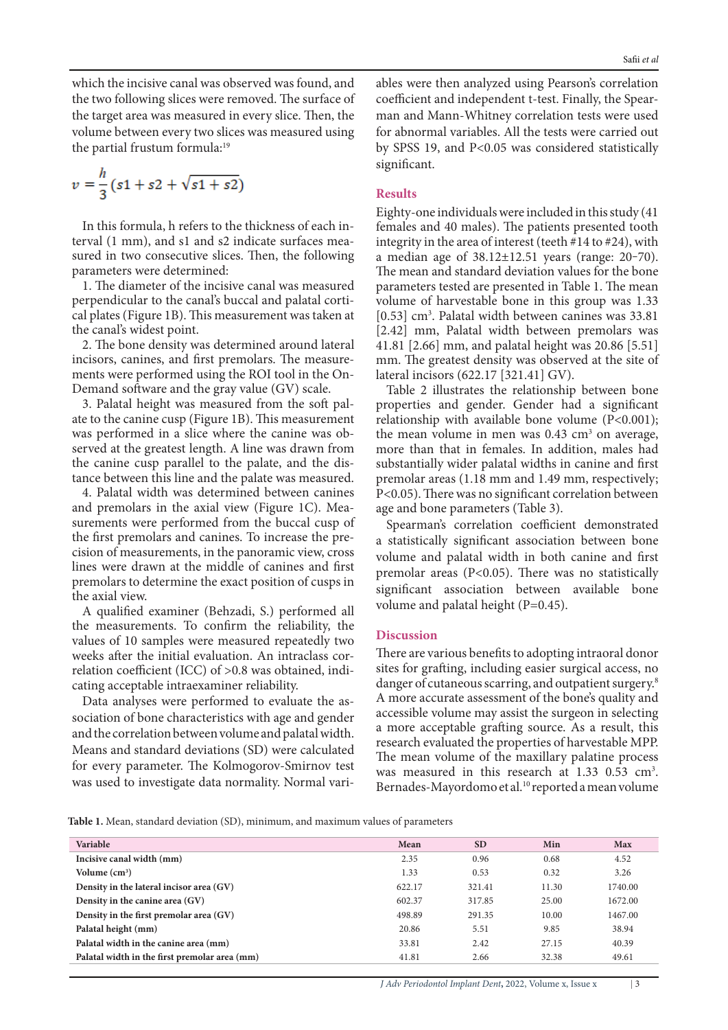which the incisive canal was observed was found, and the two following slices were removed. The surface of the target area was measured in every slice. Then, the volume between every two slices was measured using the partial frustum formula:<sup>19</sup>

$$
v = \frac{h}{3}(s_1 + s_2 + \sqrt{s_1 + s_2})
$$

terval (1 mm), and s1 and s2 indicate surfaces measured in two consecutive slices. Then, the following In this formula, h refers to the thickness of each interval  $(1 \text{ mm})$ , and  $s1$  and  $s2$  indicate surfaces mea-In this formula, h refers to the thickness of each inparameters were determined:

1. The diameter of the incisive canal was measured perpendicular to the canal's buccal and palatal corti-<br>cal plates (Figure 1B). This measurement was taken at the canal's widest point.

2. The bone density was determined around lateral ments were performed using the ROI tool in the On-<br>Demand software and the gray value (GV) scale. incisors, canines, and first premolars. The measure-<br>ments were performed using the ROI tool in the Onincisors, canines, and first premolars. The measure-

ate to the canine cusp (Figure 1B). This measurement 3. Palatal height was measured from the soft palwas performed in a slice where the canine was observed at the greatest length. A line was drawn from tance between this line and the palate was measured. the canine cusp parallel to the palate, and the dis-

4. Palatal width was determined between canines surements were performed from the buccal cusp of and premolars in the axial view (Figure 1C). Meacision of measurements, in the panoramic view, cross the first premolars and canines. To increase the prelines were drawn at the middle of canines and first premolars to determine the exact position of cusps in the axial view.

A qualified examiner (Behzadi, S.) performed all the measurements. To confirm the reliability, the values of 10 samples were measured repeatedly two relation coefficient (ICC) of >0.8 was obtained, indicating acceptable intraexaminer reliability. weeks after the initial evaluation. An intraclass cor-<br>relation coefficient (ICC) of >0.8 was obtained, indiweeks after the initial evaluation. An intraclass cor-

sociation of bone characteristics with age and gender Data analyses were performed to evaluate the asand the correlation between volume and palatal width. Means and standard deviations (SD) were calculated for every parameter. The Kolmogorov-Smirnov test was used to investigate data normality. Normal variman and Mann-Whitney correlation tests were used coefficient and independent t-test. Finally, the Spearfor abnormal variables. All the tests were carried out by SPSS 19, and  $P<0.05$  was considered statistically significant.

## **Results**

dentication sing Pearson's correlation of the sower them and<br>year-bara and Mann-Whitney correlation tests were used for abonornal variables. All the tests were carried out<br>by SPSS 19, and P<0.05 was considered statistical Eighty-one individuals were included in this study  $(41)$ females and 40 males). The patients presented tooth integrity in the area of interest (teeth  $#14$  to  $#24$ ), with a median age of  $38.12 \pm 12.51$  years (range: 20-70). The mean and standard deviation values for the bone parameters tested are presented in Table 1. The mean volume of harvestable bone in this group was 1.33 [ $0.53$ ] cm<sup>3</sup>. Palatal width between canines was  $33.81$ [2.42] mm, Palatal width between premolars was 41.81 [2.66] mm, and palatal height was 20.86 [5.51] mm. The greatest density was observed at the site of lateral incisors (622.17 [321.41] GV).

Table 2 illustrates the relationship between bone properties and gender. Gender had a significant relationship with available bone volume  $(P<0.001)$ ; the mean volume in men was  $0.43 \text{ cm}^3$  on average, more than that in females. In addition, males had substantially wider palatal widths in canine and first premolar areas (1.18 mm and 1.49 mm, respectively;  $P<0.05$ ). There was no significant correlation between age and bone parameters (Table 3).

Spearman's correlation coefficient demonstrated a statistically significant association between bone volume and palatal width in both canine and first premolar areas ( $P<0.05$ ). There was no statistically significant association between available bone volume and palatal height (P= $0.45$ ).

#### **Discussion**

There are various benefits to adopting intraoral donor sites for grafting, including easier surgical access, no danger of cutaneous scarring, and outpatient surgery.<sup>8</sup> A more accurate assessment of the bone's quality and accessible volume may assist the surgeon in selecting a more acceptable grafting source. As a result, this research evaluated the properties of harvestable MPP. The mean volume of the maxillary palatine process was measured in this research at  $1.33$  0.53 cm<sup>3</sup>. Bernades-Mayordomo et al.<sup>10</sup> reported a mean volume

Table 1. Mean, standard deviation (SD), minimum, and maximum values of parameters

| Variable                                      | Mean   | <b>SD</b> | Min   | <b>Max</b> |
|-----------------------------------------------|--------|-----------|-------|------------|
| Incisive canal width (mm)                     | 2.35   | 0.96      | 0.68  | 4.52       |
| Volume $(cm3)$                                | 1.33   | 0.53      | 0.32  | 3.26       |
| Density in the lateral incisor area (GV)      | 622.17 | 321.41    | 11.30 | 1740.00    |
| Density in the canine area (GV)               | 602.37 | 317.85    | 25.00 | 1672.00    |
| Density in the first premolar area (GV)       | 498.89 | 291.35    | 10.00 | 1467.00    |
| Palatal height (mm)                           | 20.86  | 5.51      | 9.85  | 38.94      |
| Palatal width in the canine area (mm)         | 33.81  | 2.42      | 27.15 | 40.39      |
| Palatal width in the first premolar area (mm) | 41.81  | 2.66      | 32.38 | 49.61      |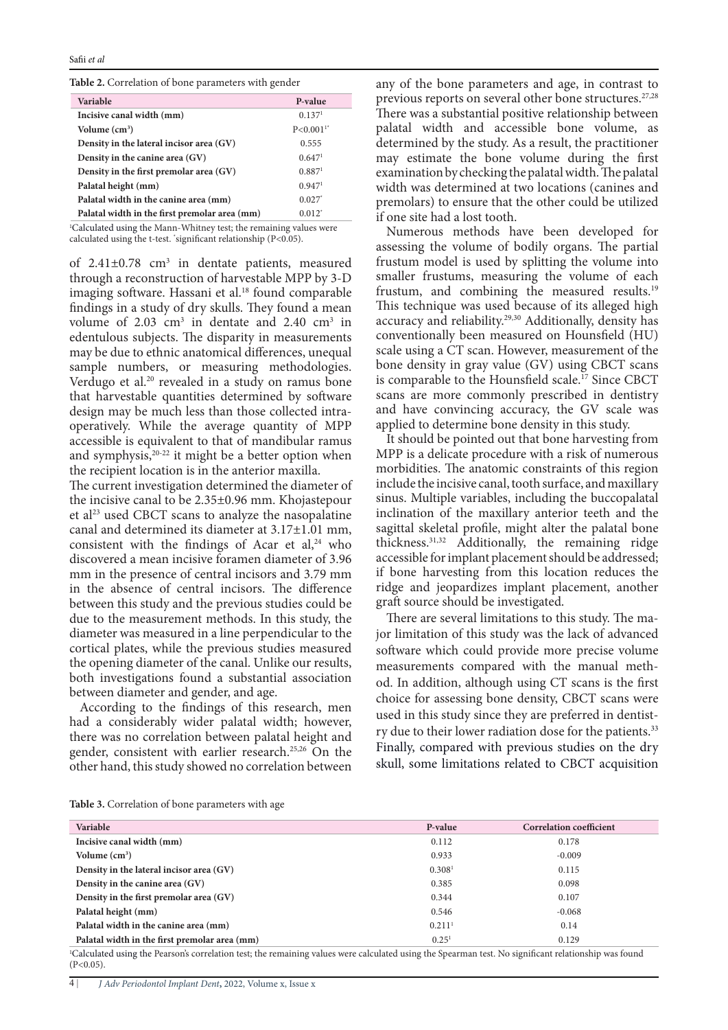|  |  |  |  | Table 2. Correlation of bone parameters with gender |
|--|--|--|--|-----------------------------------------------------|
|--|--|--|--|-----------------------------------------------------|

| Variable                                      | P-value                   |
|-----------------------------------------------|---------------------------|
| Incisive canal width (mm)                     | 0.137 <sup>1</sup>        |
| Volume $(cm3)$                                | $P < 0.0011$ <sup>*</sup> |
| Density in the lateral incisor area (GV)      | 0.555                     |
| Density in the canine area (GV)               | 0.647 <sup>1</sup>        |
| Density in the first premolar area (GV)       | 0.887 <sup>1</sup>        |
| Palatal height (mm)                           | 0.947 <sup>1</sup>        |
| Palatal width in the canine area (mm)         | $0.027$ <sup>*</sup>      |
| Palatal width in the first premolar area (mm) | $0.012^*$                 |

<sup>1</sup>Calculated using the Mann-Whitney test; the remaining values were calculated using the t-test. 'significant relationship (P<0.05).

of  $2.41\pm0.78$  cm<sup>3</sup> in dentate patients, measured through a reconstruction of harvestable MPP by 3-D imaging software. Hassani et al.<sup>18</sup> found comparable findings in a study of dry skulls. They found a mean volume of 2.03  $\text{cm}^3$  in dentate and 2.40  $\text{cm}^3$  in edentulous subjects. The disparity in measurements may be due to ethnic anatomical differences, unequal sample numbers, or measuring methodologies. Verdugo et al.<sup>20</sup> revealed in a study on ramus bone that harvestable quantities determined by software operatively. While the average quantity of MPP design may be much less than those collected intraaccessible is equivalent to that of mandibular ramus and symphysis, $20-22$  it might be a better option when the recipient location is in the anterior maxilla.

The current investigation determined the diameter of the incisive canal to be  $2.35\pm0.96$  mm. Khojastepour et al<sup>23</sup> used CBCT scans to analyze the nasopalatine canal and determined its diameter at  $3.17\pm1.01$  mm, consistent with the findings of Acar et  $al^{24}$ , who discovered a mean incisive foramen diameter of 3.96 mm in the presence of central incisors and 3.79 mm in the absence of central incisors. The difference between this study and the previous studies could be due to the measurement methods. In this study, the diameter was measured in a line perpendicular to the cortical plates, while the previous studies measured the opening diameter of the canal. Unlike our results, both investigations found a substantial association between diameter and gender, and age.

According to the findings of this research, men had a considerably wider palatal width; however, there was no correlation between palatal height and gender, consistent with earlier research.<sup>25,26</sup> On the other hand, this study showed no correlation between

any of the bone parameters and age, in contrast to previous reports on several other bone structures.<sup>27,28</sup> There was a substantial positive relationship between palatal width and accessible bone volume, as determined by the study. As a result, the practitioner may estimate the bone volume during the first examination by checking the palatal width. The palatal width was determined at two locations (canines and premolars) to ensure that the other could be utilized if one site had a lost tooth.

Numerous methods have been developed for assessing the volume of bodily organs. The partial frustum model is used by splitting the volume into smaller frustums, measuring the volume of each frustum, and combining the measured results.<sup>19</sup> This technique was used because of its alleged high accuracy and reliability.<sup>29,30</sup> Additionally, density has conventionally been measured on Hounsfield (HU) scale using a CT scan. However, measurement of the bone density in gray value (GV) using CBCT scans is comparable to the Hounsfield scale.<sup>17</sup> Since CBCT scans are more commonly prescribed in dentistry and have convincing accuracy, the GV scale was applied to determine bone density in this study.

It should be pointed out that bone harvesting from MPP is a delicate procedure with a risk of numerous morbidities. The anatomic constraints of this region include the incisive canal, tooth surface, and maxillary sinus. Multiple variables, including the buccopalatal inclination of the maxillary anterior teeth and the sagittal skeletal profile, might alter the palatal bone thickness.<sup>31,32</sup> Additionally, the remaining ridge accessible for implant placement should be addressed; if bone harvesting from this location reduces the ridge and jeopardizes implant placement, another graft source should be investigated.

There are several limitations to this study. The ma-<br>jor limitation of this study was the lack of advanced software which could provide more precise volume od. In addition, although using CT scans is the first measurements compared with the manual methchoice for assessing bone density, CBCT scans were used in this study since they are preferred in dentist-<br>ry due to their lower radiation dose for the patients.<sup>33</sup> ry due to their lower radiation dose for the patients.<sup>33</sup> Finally, compared with previous studies on the dry skull, some limitations related to CBCT acquisition

| Table 3. Correlation of bone parameters with age |  |
|--------------------------------------------------|--|
|--------------------------------------------------|--|

| Variable                                      | P-value              | <b>Correlation coefficient</b> |
|-----------------------------------------------|----------------------|--------------------------------|
| Incisive canal width (mm)                     | 0.112                | 0.178                          |
| Volume $(cm3)$                                | 0.933                | $-0.009$                       |
| Density in the lateral incisor area (GV)      | 0.308 <sup>1</sup>   | 0.115                          |
| Density in the canine area (GV)               | 0.385                | 0.098                          |
| Density in the first premolar area (GV)       | 0.344                | 0.107                          |
| Palatal height (mm)                           | 0.546                | $-0.068$                       |
| Palatal width in the canine area (mm)         | $0.211$ <sup>1</sup> | 0.14                           |
| Palatal width in the first premolar area (mm) | 0.25 <sup>1</sup>    | 0.129                          |

<sup>1</sup>Calculated using the Pearson's correlation test; the remaining values were calculated using the Spearman test. No significant relationship was found  $(P<0.05)$ .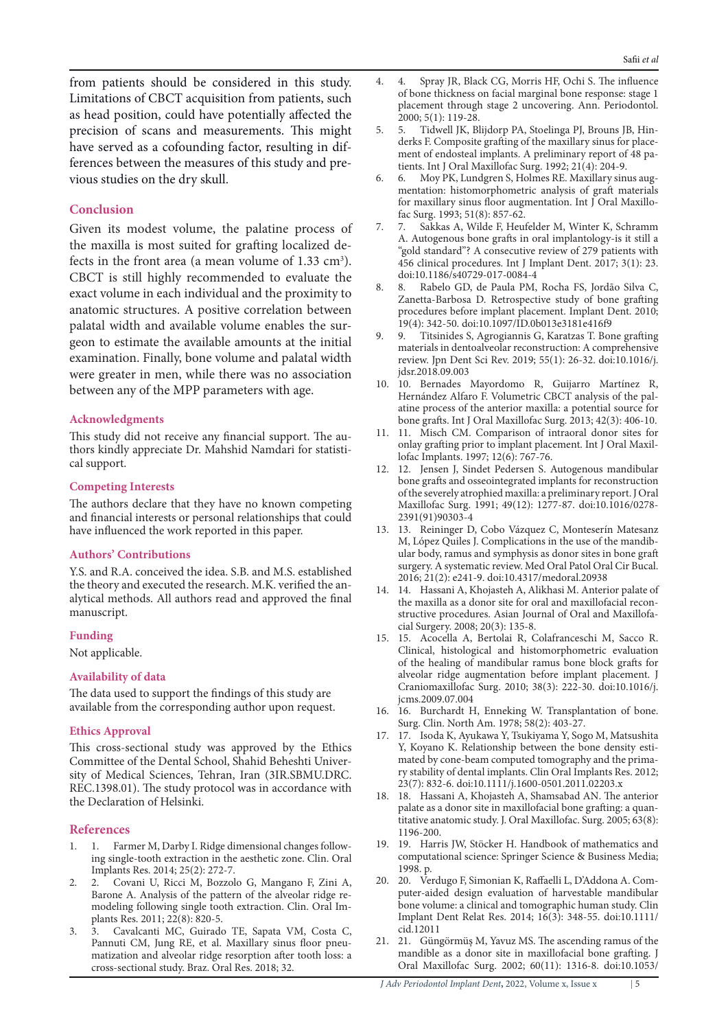from patients should be considered in this study. Limitations of CBCT acquisition from patients, such as head position, could have potentially affected the precision of scans and measurements. This might ferences between the measures of this study and pre-<br>vious studies on the dry skull. have served as a cofounding factor, resulting in dif-<br>ferences between the measures of this study and prehave served as a cofounding factor, resulting in dif-

### **Conclusion**

Given its modest volume, the palatine process of the maxilla is most suited for grafting localized defects in the front area (a mean volume of  $1.33 \text{ cm}^3$ ). the maxilla is most suited for grafting localized de-CBCT is still highly recommended to evaluate the exact volume in each individual and the proximity to anatomic structures. A positive correlation between palatal width and available volume enables the sur-<br>geon to estimate the available amounts at the initial examination. Finally, bone volume and palatal width were greater in men, while there was no association between any of the MPP parameters with age.

#### **Acknowledgments**

thors kindly appreciate Dr. Mahshid Namdari for statisti-<br>cal support. This study did not receive any financial support. The au-<br>thors kindly appreciate Dr. Mahshid Namdari for statisti-This study did not receive any financial support. The au-

#### **Interests Competing**

The authors declare that they have no known competing and financial interests or personal relationships that could have influenced the work reported in this paper.

#### **Authors' Contributions**

Y.S. and R.A. conceived the idea. S.B. and M.S. established alytical methods. All authors read and approved the final the theory and executed the research. M.K. verified the anmanuscript.

#### **Funding**

Not applicable.

# **Availability** of data

The data used to support the findings of this study are available from the corresponding author upon request.

#### **Ethics Approval**

This cross-sectional study was approved by the Ethics sity of Medical Sciences, Tehran, Iran (3IR.SBMU.DRC. Committee of the Dental School, Shahid Beheshti Univer-REC.1398.01). The study protocol was in accordance with the Declaration of Helsinki.

#### **References**

- 1. I. Farmer M, Darby I. Ridge dimensional changes following single-tooth extraction in the aesthetic zone. Clin. Oral Implants Res. 2014; 25(2): 272-7.
- 2. 2. Covani U, Ricci M, Bozzolo G, Mangano F, Zini A, modeling following single tooth extraction. Clin. Oral Im-<br>plants Res. 2011; 22(8): 820-5. Barone A. Analysis of the pattern of the alveolar ridge re-<br>modeling following single tooth extraction. Clin. Oral Im-Barone A. Analysis of the pattern of the alveolar ridge re-
- 3. 3. Cavalcanti MC, Guirado TE, Sapata VM, Costa C, matization and alveolar ridge resorption after tooth loss: a Pannuti CM, Jung RE, et al. Maxillary sinus floor pneucross-sectional study. Braz. Oral Res. 2018; 32.
- 4. 4. Spray JR, Black CG, Morris HF, Ochi S. The influence of bone thickness on facial marginal bone response: stage 1 placement through stage 2 uncovering. Ann. Periodontol.
- 2000; 5(1): 119-28.<br>5. Tidwell JK, B. ment of endosteal implants. A preliminary report of 48 patients. Int J Oral Maxillofac Surg. 1992; 21(4): 204-9. derks F. Composite grafting of the maxillary sinus for place-<br>ment of endosteal implants. A preliminary report of 48 paderks F. Composite grafting of the maxillary sinus for place-5. 5. Tidwell JK, Blijdorp PA, Stoelinga PJ, Brouns JB, Hin-
- 6. Moy PK, Lundgren S, Holmes RE. Maxillary sinus aug-<br>mentation: histomorphometric analysis of graft materials 6. 6. Moy PK, Lundgren S, Holmes RE. Maxillary sinus augfor maxillary sinus floor augmentation. Int J Oral Maxillo-<br>fac Surg. 1993; 51(8): 857-62.
- 7. 7. Sakkas A, Wilde F, Heufelder M, Winter K, Schramm A. Autogenous bone grafts in oral implantology-is it still a "gold standard"? A consecutive review of 279 patients with 456 clinical procedures. Int J Implant Dent. 2017; 3(1): 23. doi:10.1186/s40729-017-0084-4
- 8. 8. Rabelo GD, de Paula PM, Rocha FS, Jordão Silva C, Zanetta-Barbosa D. Retrospective study of bone grafting procedures before implant placement. Implant Dent. 2010; 19(4): 342-50. doi:10.1097/ID.0b013e3181e416f9
- 9. 9. Titsinides S, Agrogiannis G, Karatzas T. Bone grafting materials in dentoalveolar reconstruction: A comprehensive review. Jpn Dent Sci Rev. 2019; 55(1): 26-32. doi:10.1016/j. jdsr.2018.09.003
- 10. 10. Bernades Mayordomo R, Guijarro Martínez R, atine process of the anterior maxilla: a potential source for Hernández Alfaro F. Volumetric CBCT analysis of the palbone grafts. Int J Oral Maxillofac Surg. 2013; 42(3): 406-10.
- 11. 11. Misch CM. Comparison of intraoral donor sites for onlay grafting prior to implant placement. Int J Oral Maxillofac Implants. 1997; 12(6): 767-76.
- 12. 12. Jensen J, Sindet Pedersen S. Autogenous mandibular bone grafts and osseointegrated implants for reconstruction of the severely atrophied maxilla: a preliminary report. J Oral Maxillofac Surg. 1991; 49(12): 1277-87. doi:10.1016/0278-2391(91)90303-4
- 13. 13. Reininger D, Cobo Vázquez C, Monteserín Matesanz ular body, ramus and symphysis as donor sites in bone graft M, López Quiles J. Complications in the use of the mandibsurgery. A systematic review. Med Oral Patol Oral Cir Bucal. 2016; 21(2): e241-9. doi:10.4317/medoral.20938
- 14. 14. Hassani A, Khojasteh A, Alikhasi M. Anterior palate of structive procedures. Asian Journal of Oral and Maxillofacial Surgery. 2008; 20(3): 135-8. the maxilla as a donor site for oral and maxillofacial reconstructive procedures. Asian Journal of Oral and Maxillofathe maxilla as a donor site for oral and maxillofacial recon-
- 15. 15. Acocella A, Bertolai R, Colafranceschi M, Sacco R. Clinical, histological and histomorphometric evaluation of the healing of mandibular ramus bone block grafts for alveolar ridge augmentation before implant placement. J Craniomaxillofac Surg. 2010; 38(3): 222-30. doi:10.1016/j. jcms.2009.07.004
- 16. 16. Burchardt H, Enneking W. Transplantation of bone. Surg. Clin. North Am. 1978; 58(2): 403-27.
- 17. 17. Isoda K, Ayukawa Y, Tsukiyama Y, Sogo M, Matsushita ry stability of dental implants. Clin Oral Implants Res. 2012; mated by cone-beam computed tomography and the prima-Y, Koyano K. Relationship between the bone density esti- $23(7): 832-6.$  doi:10.1111/j.1600-0501.2011.02203.x
- 18. 18. Hassani A, Khojasteh A, Shamsabad AN. The anterior titative anatomic study. J. Oral Maxillofac. Surg. 2005; 63(8): palate as a donor site in maxillofacial bone grafting: a quan-1196-200.
- 19. 19. Harris JW, Stöcker H. Handbook of mathematics and computational science: Springer Science & Business Media; 1998. p.
- puter-aided design evaluation of harvestable mandibular 20. 20. Verdugo F, Simonian K, Raffaelli L, D'Addona A. Combone volume: a clinical and tomographic human study. Clin Implant Dent Relat Res. 2014; 16(3): 348-55. doi:10.1111/ cid.12011
- 21. 21. Güngörmüş M, Yavuz MS. The ascending ramus of the mandible as a donor site in maxillofacial bone grafting. J Oral Maxillofac Surg. 2002; 60(11): 1316-8. doi:10.1053/